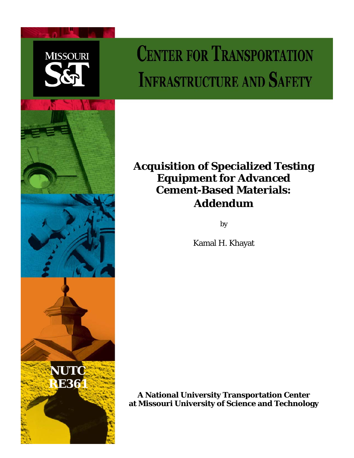

# **CENTER FOR TRANSPORTATION INFRASTRUCTURE AND SAFETY**



## **Acquisition of Specialized Testing Equipment for Advanced Cement-Based Materials: Addendum**

by

Kamal H. Khayat

**A National University Transportation Center at Missouri University of Science and Technology**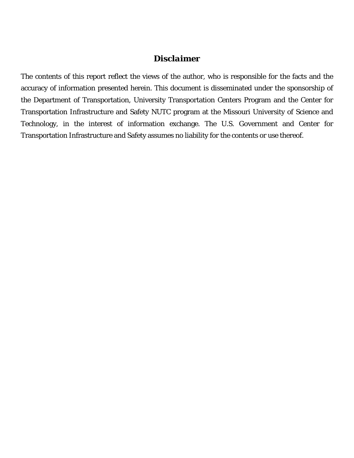### *Disclaimer*

The contents of this report reflect the views of the author, who is responsible for the facts and the accuracy of information presented herein. This document is disseminated under the sponsorship of the Department of Transportation, University Transportation Centers Program and the Center for Transportation Infrastructure and Safety NUTC program at the Missouri University of Science and Technology, in the interest of information exchange. The U.S. Government and Center for Transportation Infrastructure and Safety assumes no liability for the contents or use thereof.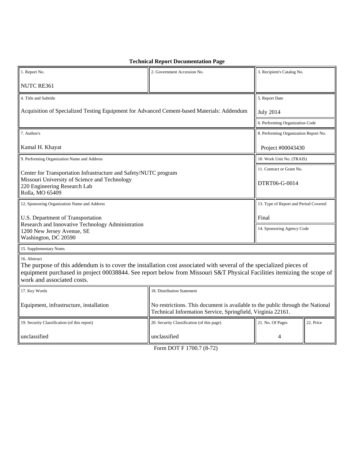| 1. Report No.                                                                                                                                                                                                                                                                               | 2. Government Accession No.                                                                                                                   | 3. Recipient's Catalog No.            |           |
|---------------------------------------------------------------------------------------------------------------------------------------------------------------------------------------------------------------------------------------------------------------------------------------------|-----------------------------------------------------------------------------------------------------------------------------------------------|---------------------------------------|-----------|
| NUTC RE361                                                                                                                                                                                                                                                                                  |                                                                                                                                               |                                       |           |
| 4. Title and Subtitle                                                                                                                                                                                                                                                                       |                                                                                                                                               | 5. Report Date                        |           |
| Acquisition of Specialized Testing Equipment for Advanced Cement-based Materials: Addendum                                                                                                                                                                                                  |                                                                                                                                               | <b>July 2014</b>                      |           |
|                                                                                                                                                                                                                                                                                             |                                                                                                                                               | 6. Performing Organization Code       |           |
| 7. Author/s                                                                                                                                                                                                                                                                                 |                                                                                                                                               | 8. Performing Organization Report No. |           |
| Kamal H. Khayat                                                                                                                                                                                                                                                                             |                                                                                                                                               | Project #00043430                     |           |
| 9. Performing Organization Name and Address                                                                                                                                                                                                                                                 |                                                                                                                                               | 10. Work Unit No. (TRAIS)             |           |
| Center for Transportation Infrastructure and Safety/NUTC program<br>Missouri University of Science and Technology<br>220 Engineering Research Lab<br>Rolla, MO 65409                                                                                                                        |                                                                                                                                               | 11. Contract or Grant No.             |           |
|                                                                                                                                                                                                                                                                                             |                                                                                                                                               | DTRT06-G-0014                         |           |
| 12. Sponsoring Organization Name and Address                                                                                                                                                                                                                                                |                                                                                                                                               | 13. Type of Report and Period Covered |           |
| U.S. Department of Transportation<br>Research and Innovative Technology Administration<br>1200 New Jersey Avenue, SE<br>Washington, DC 20590                                                                                                                                                |                                                                                                                                               | Final                                 |           |
|                                                                                                                                                                                                                                                                                             |                                                                                                                                               | 14. Sponsoring Agency Code            |           |
| 15. Supplementary Notes                                                                                                                                                                                                                                                                     |                                                                                                                                               |                                       |           |
| 16. Abstract<br>The purpose of this addendum is to cover the installation cost associated with several of the specialized pieces of<br>equipment purchased in project 00038844. See report below from Missouri S&T Physical Facilities itemizing the scope of<br>work and associated costs. |                                                                                                                                               |                                       |           |
| 17. Key Words                                                                                                                                                                                                                                                                               | 18. Distribution Statement                                                                                                                    |                                       |           |
| Equipment, infrastructure, installation                                                                                                                                                                                                                                                     | No restrictions. This document is available to the public through the National<br>Technical Information Service, Springfield, Virginia 22161. |                                       |           |
| 19. Security Classification (of this report)                                                                                                                                                                                                                                                | 20. Security Classification (of this page)                                                                                                    | 21. No. Of Pages                      | 22. Price |
| unclassified                                                                                                                                                                                                                                                                                | unclassified                                                                                                                                  | 4                                     |           |

**Technical Report Documentation Page**

Form DOT F 1700.7 (8-72)